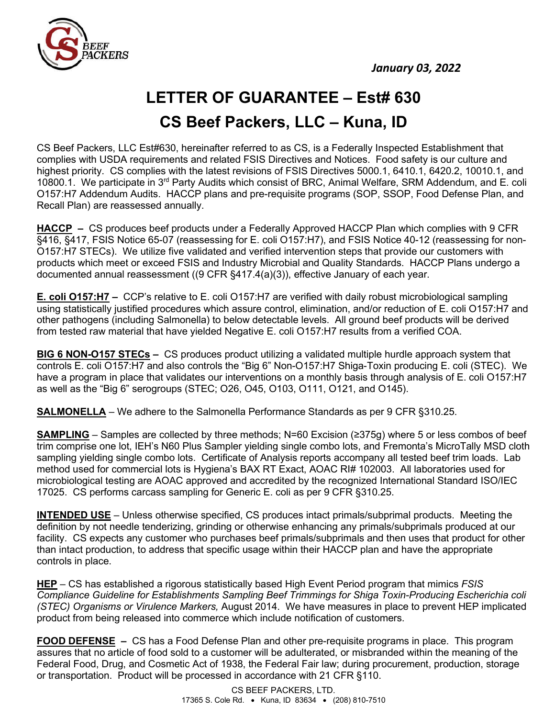

## **LETTER OF GUARANTEE – Est# 630 CS Beef Packers, LLC – Kuna, ID**

CS Beef Packers, LLC Est#630, hereinafter referred to as CS, is a Federally Inspected Establishment that complies with USDA requirements and related FSIS Directives and Notices. Food safety is our culture and highest priority. CS complies with the latest revisions of FSIS Directives 5000.1, 6410.1, 6420.2, 10010.1, and 10800.1. We participate in 3<sup>rd</sup> Party Audits which consist of BRC, Animal Welfare, SRM Addendum, and E. coli O157:H7 Addendum Audits. HACCP plans and pre-requisite programs (SOP, SSOP, Food Defense Plan, and Recall Plan) are reassessed annually.

**HACCP –** CS produces beef products under a Federally Approved HACCP Plan which complies with 9 CFR §416, §417, FSIS Notice 65-07 (reassessing for E. coli O157:H7), and FSIS Notice 40-12 (reassessing for non-O157:H7 STECs). We utilize five validated and verified intervention steps that provide our customers with products which meet or exceed FSIS and Industry Microbial and Quality Standards. HACCP Plans undergo a documented annual reassessment ((9 CFR §417.4(a)(3)), effective January of each year.

**E. coli O157:H7 –** CCP's relative to E. coli O157:H7 are verified with daily robust microbiological sampling using statistically justified procedures which assure control, elimination, and/or reduction of E. coli O157:H7 and other pathogens (including Salmonella) to below detectable levels.All ground beef products will be derived from tested raw material that have yielded Negative E. coli O157:H7 results from a verified COA.

**BIG 6 NON-O157 STECs –** CS produces product utilizing a validated multiple hurdle approach system that controls E. coli O157:H7 and also controls the "Big 6" Non-O157:H7 Shiga-Toxin producing E. coli (STEC). We have a program in place that validates our interventions on a monthly basis through analysis of E. coli O157:H7 as well as the "Big 6" serogroups (STEC; O26, O45, O103, O111, O121, and O145).

**SALMONELLA** – We adhere to the Salmonella Performance Standards as per 9 CFR §310.25.

**SAMPLING** – Samples are collected by three methods; N=60 Excision (≥375g) where 5 or less combos of beef trim comprise one lot, IEH's N60 Plus Sampler yielding single combo lots, and Fremonta's MicroTally MSD cloth sampling yielding single combo lots. Certificate of Analysis reports accompany all tested beef trim loads. Lab method used for commercial lots is Hygiena's BAX RT Exact, AOAC RI# 102003. All laboratories used for microbiological testing are AOAC approved and accredited by the recognized International Standard ISO/IEC 17025. CS performs carcass sampling for Generic E. coli as per 9 CFR §310.25.

**INTENDED USE** – Unless otherwise specified, CS produces intact primals/subprimal products. Meeting the definition by not needle tenderizing, grinding or otherwise enhancing any primals/subprimals produced at our facility. CS expects any customer who purchases beef primals/subprimals and then uses that product for other than intact production, to address that specific usage within their HACCP plan and have the appropriate controls in place.

**HEP** – CS has established a rigorous statistically based High Event Period program that mimics *FSIS Compliance Guideline for Establishments Sampling Beef Trimmings for Shiga Toxin-Producing Escherichia coli (STEC) Organisms or Virulence Markers,* August 2014. We have measures in place to prevent HEP implicated product from being released into commerce which include notification of customers.

**FOOD DEFENSE –** CS has a Food Defense Plan and other pre-requisite programs in place. This program assures that no article of food sold to a customer will be adulterated, or misbranded within the meaning of the Federal Food, Drug, and Cosmetic Act of 1938, the Federal Fair law; during procurement, production, storage or transportation. Product will be processed in accordance with 21 CFR §110.